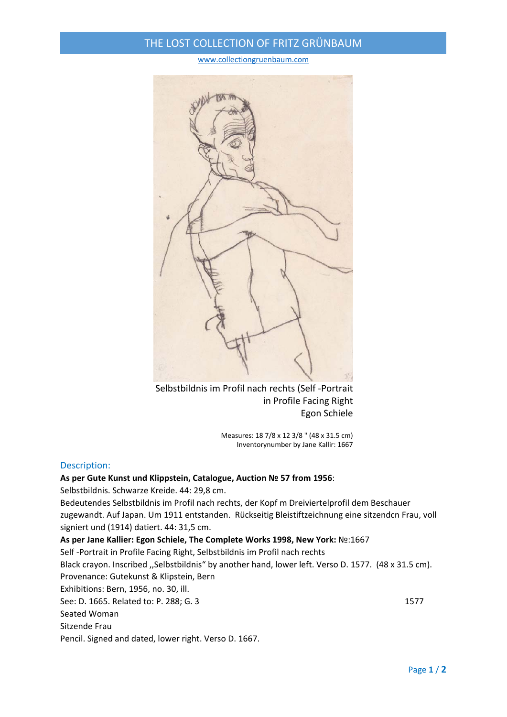## THE LOST COLLECTION OF FRITZ GRÜNBAUM

#### www.collectiongruenbaum.com



Selbstbildnis im Profil nach rechts (Self ‐Portrait in Profile Facing Right Egon Schiele

> Measures: 18 7/8 x 12 3/8 " (48 x 31.5 cm) Inventorynumber by Jane Kallir: 1667

#### Description:

#### **As per Gute Kunst und Klippstein, Catalogue, Auction № 57 from 1956**:

Selbstbildnis. Schwarze Kreide. 44: 29,8 cm.

Bedeutendes Selbstbildnis im Profil nach rechts, der Kopf m Dreiviertelprofil dem Beschauer zugewandt. Auf Japan. Um 1911 entstanden. Rückseitig Bleistiftzeichnung eine sitzendcn Frau, voll signiert und (1914) datiert. 44: 31,5 cm.

**As per Jane Kallier: Egon Schiele, The Complete Works 1998, New York:** №:1667

Self ‐Portrait in Profile Facing Right, Selbstbildnis im Profil nach rechts

Black crayon. Inscribed ,,Selbstbildnis" by another hand, lower left. Verso D. 1577. (48 x 31.5 cm). Provenance: Gutekunst & Klipstein, Bern

Exhibitions: Bern, 1956, no. 30, ill.

See: D. 1665. Related to: P. 288; G. 3 1577

Seated Woman

Sitzende Frau

Pencil. Signed and dated, lower right. Verso D. 1667.

Page **1** / **2**